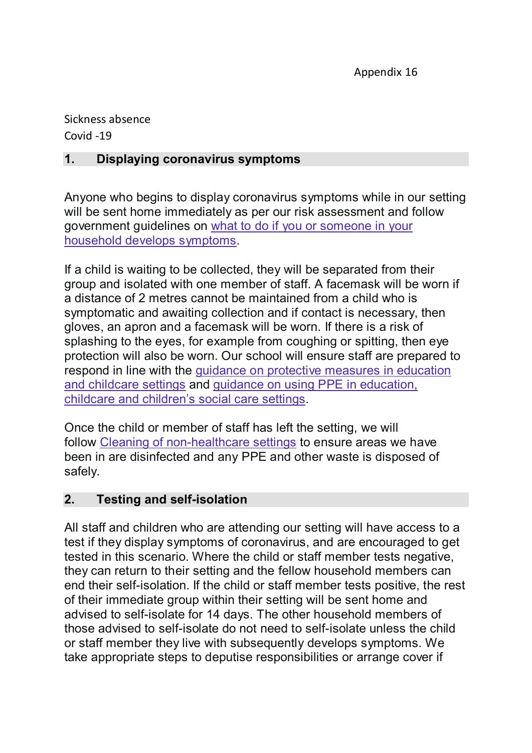Appendix 16

Sickness absence Covid -19

## **1. Displaying coronavirus symptoms**

Anyone who begins to display coronavirus symptoms while in our setting will be sent home immediately as per our risk assessment and follow government guidelines on what to do [if you or someone in your](https://www.gov.uk/government/publications/covid-19-stay-at-home-guidance)  [household develops symptoms.](https://www.gov.uk/government/publications/covid-19-stay-at-home-guidance)

If a child is waiting to be collected, they will be separated from their group and isolated with one member of staff. A facemask will be worn if a distance of 2 metres cannot be maintained from a child who is symptomatic and awaiting collection and if contact is necessary, then gloves, an apron and a facemask will be worn. If there is a risk of splashing to the eyes, for example from coughing or spitting, then eye protection will also be worn. Our school will ensure staff are prepared to respond in line with the [guidance on protective measures in education](https://www.gov.uk/government/publications/coronavirus-covid-19-implementing-protective-measures-in-education-and-childcare-settings)  [and childcare settings](https://www.gov.uk/government/publications/coronavirus-covid-19-implementing-protective-measures-in-education-and-childcare-settings) and [guidance on using PPE in education,](https://www.gov.uk/government/publications/safe-working-in-education-childcare-and-childrens-social-care)  [childcare and children](https://www.gov.uk/government/publications/safe-working-in-education-childcare-and-childrens-social-care)'s social care settings.

Once the child or member of staff has left the setting, we will follow Cleaning of [non-healthcare settings](https://www.gov.uk/government/publications/covid-19-decontamination-in-non-healthcare-settings/covid-19-decontamination-in-non-healthcare-settings) to ensure areas we have been in are disinfected and any PPE and other waste is disposed of safely.

## **2. Testing and self-isolation**

All staff and children who are attending our setting will have access to a test if they display symptoms of coronavirus, and are encouraged to get tested in this scenario. Where the child or staff member tests negative, they can return to their setting and the fellow household members can end their self-isolation. If the child or staff member tests positive, the rest of their immediate group within their setting will be sent home and advised to self-isolate for 14 days. The other household members of those advised to self-isolate do not need to self-isolate unless the child or staff member they live with subsequently develops symptoms. We take appropriate steps to deputise responsibilities or arrange cover if